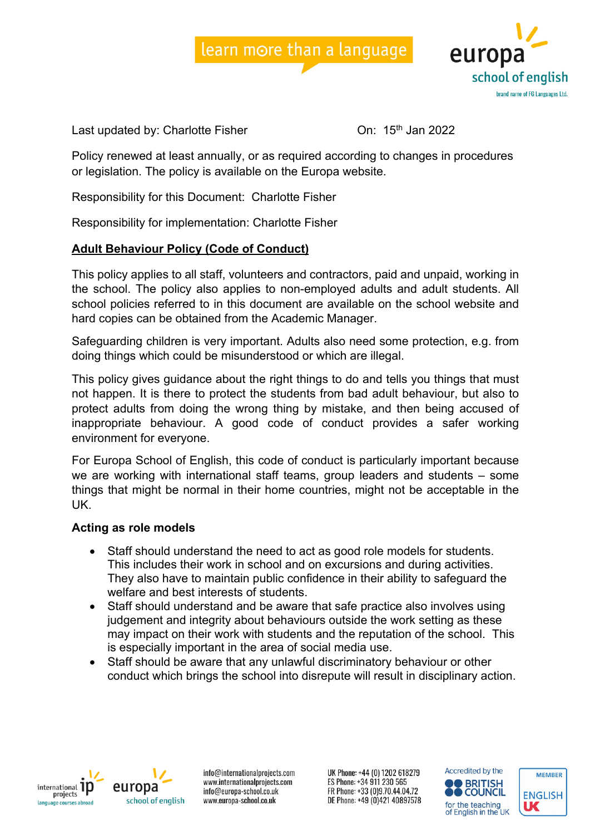



Last updated by: Charlotte Fisher Charlotte Fisher China 15th Jan 2022

Policy renewed at least annually, or as required according to changes in procedures or legislation. The policy is available on the Europa website.

Responsibility for this Document: Charlotte Fisher

Responsibility for implementation: Charlotte Fisher

#### **Adult Behaviour Policy (Code of Conduct)**

This policy applies to all staff, volunteers and contractors, paid and unpaid, working in the school. The policy also applies to non-employed adults and adult students. All school policies referred to in this document are available on the school website and hard copies can be obtained from the Academic Manager.

Safeguarding children is very important. Adults also need some protection, e.g. from doing things which could be misunderstood or which are illegal.

This policy gives guidance about the right things to do and tells you things that must not happen. It is there to protect the students from bad adult behaviour, but also to protect adults from doing the wrong thing by mistake, and then being accused of inappropriate behaviour. A good code of conduct provides a safer working environment for everyone.

For Europa School of English, this code of conduct is particularly important because we are working with international staff teams, group leaders and students – some things that might be normal in their home countries, might not be acceptable in the UK.

#### **Acting as role models**

- Staff should understand the need to act as good role models for students. This includes their work in school and on excursions and during activities. They also have to maintain public confidence in their ability to safeguard the welfare and best interests of students.
- Staff should understand and be aware that safe practice also involves using judgement and integrity about behaviours outside the work setting as these may impact on their work with students and the reputation of the school. This is especially important in the area of social media use.
- Staff should be aware that any unlawful discriminatory behaviour or other conduct which brings the school into disrepute will result in disciplinary action.



europa school of english

info@internationalprojects.com www.internationalprojects.com info@europa-school.co.uk www.europa-school.co.uk

UK Phone: +44 (0) 1202 618279 ES Phone: +34 911 230 565 FR Phone: +33 (0)9.70.44.04.72 DE Phone: +49 (0)421 40897578



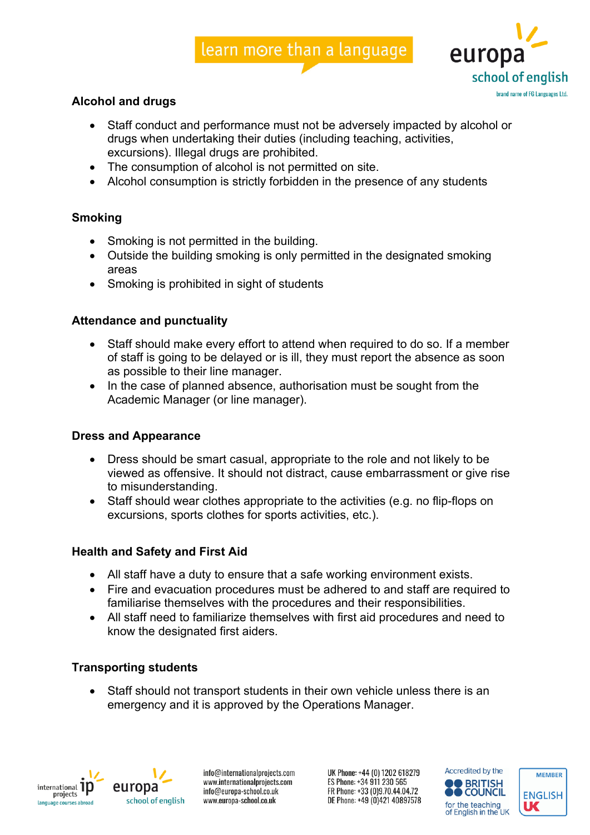# learn more than a language



# **Alcohol and drugs**

- Staff conduct and performance must not be adversely impacted by alcohol or drugs when undertaking their duties (including teaching, activities, excursions). Illegal drugs are prohibited.
- The consumption of alcohol is not permitted on site.
- Alcohol consumption is strictly forbidden in the presence of any students

# **Smoking**

- Smoking is not permitted in the building.
- Outside the building smoking is only permitted in the designated smoking areas
- Smoking is prohibited in sight of students

# **Attendance and punctuality**

- Staff should make every effort to attend when required to do so. If a member of staff is going to be delayed or is ill, they must report the absence as soon as possible to their line manager.
- In the case of planned absence, authorisation must be sought from the Academic Manager (or line manager).

## **Dress and Appearance**

- Dress should be smart casual, appropriate to the role and not likely to be viewed as offensive. It should not distract, cause embarrassment or give rise to misunderstanding.
- Staff should wear clothes appropriate to the activities (e.g. no flip-flops on excursions, sports clothes for sports activities, etc.).

## **Health and Safety and First Aid**

- All staff have a duty to ensure that a safe working environment exists.
- Fire and evacuation procedures must be adhered to and staff are required to familiarise themselves with the procedures and their responsibilities.
- All staff need to familiarize themselves with first aid procedures and need to know the designated first aiders.

## **Transporting students**

• Staff should not transport students in their own vehicle unless there is an emergency and it is approved by the Operations Manager.



europa school of english

info@internationalprojects.com www.internationalprojects.com info@europa-school.co.uk www.europa-school.co.uk

UK Phone: +44 (0) 1202 618279 ES Phone: +34 911 230 565 FR Phone: +33 (0)9.70.44.04.72 DE Phone: +49 (0)421 40897578



**MEMBER** 

**ENGLISH** 

UC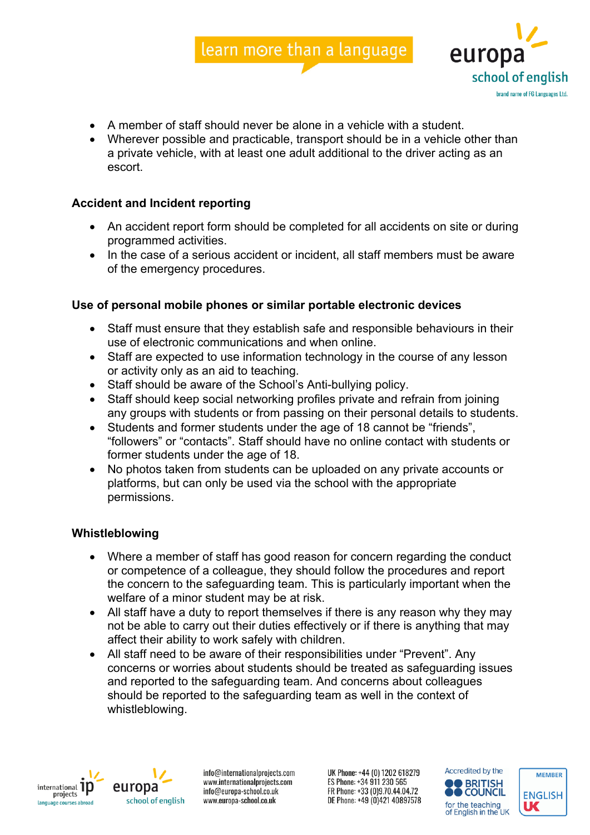



- A member of staff should never be alone in a vehicle with a student.
- Wherever possible and practicable, transport should be in a vehicle other than a private vehicle, with at least one adult additional to the driver acting as an escort.

## **Accident and Incident reporting**

- An accident report form should be completed for all accidents on site or during programmed activities.
- In the case of a serious accident or incident, all staff members must be aware of the emergency procedures.

#### **Use of personal mobile phones or similar portable electronic devices**

- Staff must ensure that they establish safe and responsible behaviours in their use of electronic communications and when online.
- Staff are expected to use information technology in the course of any lesson or activity only as an aid to teaching.
- Staff should be aware of the School's Anti-bullying policy.
- Staff should keep social networking profiles private and refrain from joining any groups with students or from passing on their personal details to students.
- Students and former students under the age of 18 cannot be "friends", "followers" or "contacts". Staff should have no online contact with students or former students under the age of 18.
- No photos taken from students can be uploaded on any private accounts or platforms, but can only be used via the school with the appropriate permissions.

#### **Whistleblowing**

- Where a member of staff has good reason for concern regarding the conduct or competence of a colleague, they should follow the procedures and report the concern to the safeguarding team. This is particularly important when the welfare of a minor student may be at risk.
- All staff have a duty to report themselves if there is any reason why they may not be able to carry out their duties effectively or if there is anything that may affect their ability to work safely with children.
- All staff need to be aware of their responsibilities under "Prevent". Any concerns or worries about students should be treated as safeguarding issues and reported to the safeguarding team. And concerns about colleagues should be reported to the safeguarding team as well in the context of whistleblowing.



europa school of english

info@internationalprojects.com www.internationalprojects.com info@europa-school.co.uk www.europa-school.co.uk

UK Phone: +44 (0) 1202 618279 ES Phone: +34 911 230 565 FR Phone: +33 (0)9.70.44.04.72 DE Phone: +49 (0)421 40897578



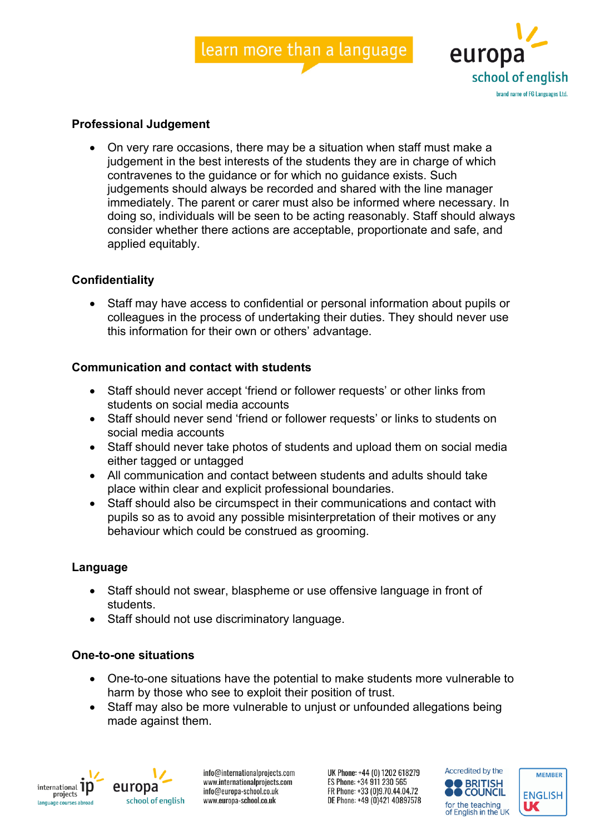



#### **Professional Judgement**

• On very rare occasions, there may be a situation when staff must make a judgement in the best interests of the students they are in charge of which contravenes to the guidance or for which no guidance exists. Such judgements should always be recorded and shared with the line manager immediately. The parent or carer must also be informed where necessary. In doing so, individuals will be seen to be acting reasonably. Staff should always consider whether there actions are acceptable, proportionate and safe, and applied equitably.

#### **Confidentiality**

• Staff may have access to confidential or personal information about pupils or colleagues in the process of undertaking their duties. They should never use this information for their own or others' advantage.

#### **Communication and contact with students**

- Staff should never accept 'friend or follower requests' or other links from students on social media accounts
- Staff should never send 'friend or follower requests' or links to students on social media accounts
- Staff should never take photos of students and upload them on social media either tagged or untagged
- All communication and contact between students and adults should take place within clear and explicit professional boundaries.
- Staff should also be circumspect in their communications and contact with pupils so as to avoid any possible misinterpretation of their motives or any behaviour which could be construed as grooming.

#### **Language**

- Staff should not swear, blaspheme or use offensive language in front of students.
- Staff should not use discriminatory language.

#### **One-to-one situations**

- One-to-one situations have the potential to make students more vulnerable to harm by those who see to exploit their position of trust.
- Staff may also be more vulnerable to unjust or unfounded allegations being made against them.



europa school of english

info@internationalprojects.com www.internationalprojects.com info@europa-school.co.uk www.europa-school.co.uk

UK Phone: +44 (0) 1202 618279 ES Phone: +34 911 230 565 FR Phone: +33 (0)9.70.44.04.72 DE Phone: +49 (0)421 40897578



**MEMBER** 

**ENGLISH** 

UC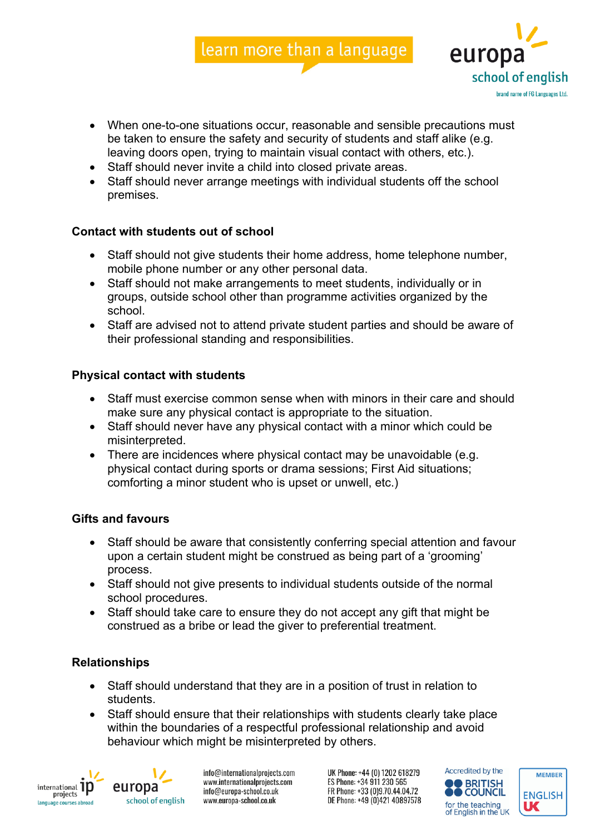learn more than a language

- europ school of english brand name of FG Languages Ltd.
- When one-to-one situations occur, reasonable and sensible precautions must be taken to ensure the safety and security of students and staff alike (e.g. leaving doors open, trying to maintain visual contact with others, etc.).
- Staff should never invite a child into closed private areas.
- Staff should never arrange meetings with individual students off the school premises.

# **Contact with students out of school**

- Staff should not give students their home address, home telephone number, mobile phone number or any other personal data.
- Staff should not make arrangements to meet students, individually or in groups, outside school other than programme activities organized by the school.
- Staff are advised not to attend private student parties and should be aware of their professional standing and responsibilities.

# **Physical contact with students**

- Staff must exercise common sense when with minors in their care and should make sure any physical contact is appropriate to the situation.
- Staff should never have any physical contact with a minor which could be misinterpreted.
- There are incidences where physical contact may be unavoidable (e.g. physical contact during sports or drama sessions; First Aid situations; comforting a minor student who is upset or unwell, etc.)

## **Gifts and favours**

- Staff should be aware that consistently conferring special attention and favour upon a certain student might be construed as being part of a 'grooming' process.
- Staff should not give presents to individual students outside of the normal school procedures.
- Staff should take care to ensure they do not accept any gift that might be construed as a bribe or lead the giver to preferential treatment.

# **Relationships**

- Staff should understand that they are in a position of trust in relation to students.
- Staff should ensure that their relationships with students clearly take place within the boundaries of a respectful professional relationship and avoid behaviour which might be misinterpreted by others.



europa school of english

info@internationalprojects.com www.internationalprojects.com info@europa-school.co.uk www.europa-school.co.uk

UK Phone: +44 (0) 1202 618279 ES Phone: +34 911 230 565 FR Phone: +33 (0)9.70.44.04.72 DE Phone: +49 (0)421 40897578



**MEMBER** 

**ENGLISH** 

UC